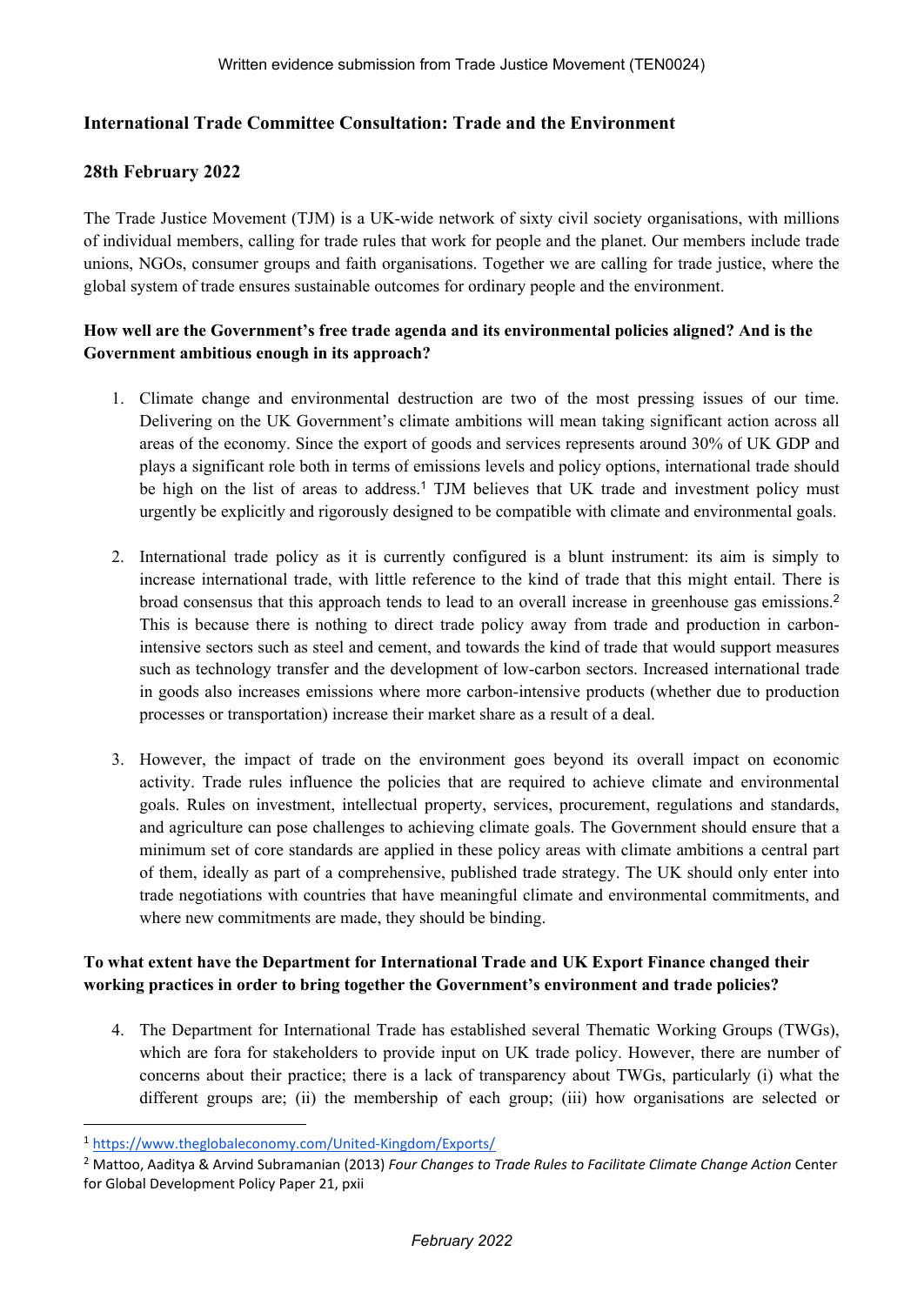## **International Trade Committee Consultation: Trade and the Environment**

### **28th February 2022**

The Trade Justice Movement (TJM) is a UK-wide network of sixty civil society organisations, with millions of individual members, calling for trade rules that work for people and the planet. Our members include trade unions, NGOs, consumer groups and faith organisations. Together we are calling for trade justice, where the global system of trade ensures sustainable outcomes for ordinary people and the environment.

### **How well are the Government's free trade agenda and its environmental policies aligned? And is the Government ambitious enough in its approach?**

- 1. Climate change and environmental destruction are two of the most pressing issues of our time. Delivering on the UK Government's climate ambitions will mean taking significant action across all areas of the economy. Since the export of goods and services represents around 30% of UK GDP and plays a significant role both in terms of emissions levels and policy options, international trade should be high on the list of areas to address.<sup>1</sup> TJM believes that UK trade and investment policy must urgently be explicitly and rigorously designed to be compatible with climate and environmental goals.
- 2. International trade policy as it is currently configured is a blunt instrument: its aim is simply to increase international trade, with little reference to the kind of trade that this might entail. There is broad consensus that this approach tends to lead to an overall increase in greenhouse gas emissions.<sup>2</sup> This is because there is nothing to direct trade policy away from trade and production in carbonintensive sectors such as steel and cement, and towards the kind of trade that would support measures such as technology transfer and the development of low-carbon sectors. Increased international trade in goods also increases emissions where more carbon-intensive products (whether due to production processes or transportation) increase their market share as a result of a deal.
- 3. However, the impact of trade on the environment goes beyond its overall impact on economic activity. Trade rules influence the policies that are required to achieve climate and environmental goals. Rules on investment, intellectual property, services, procurement, regulations and standards, and agriculture can pose challenges to achieving climate goals. The Government should ensure that a minimum set of core standards are applied in these policy areas with climate ambitions a central part of them, ideally as part of a comprehensive, published trade strategy. The UK should only enter into trade negotiations with countries that have meaningful climate and environmental commitments, and where new commitments are made, they should be binding.

## **To what extent have the Department for International Trade and UK Export Finance changed their working practices in order to bring together the Government's environment and trade policies?**

4. The Department for International Trade has established several Thematic Working Groups (TWGs), which are fora for stakeholders to provide input on UK trade policy. However, there are number of concerns about their practice; there is a lack of transparency about TWGs, particularly (i) what the different groups are; (ii) the membership of each group; (iii) how organisations are selected or

<sup>1</sup> <https://www.theglobaleconomy.com/United-Kingdom/Exports/>

<sup>2</sup> Mattoo, Aaditya & Arvind Subramanian (2013) *Four Changes to Trade Rules to Facilitate Climate Change Action* Center for Global Development Policy Paper 21, pxii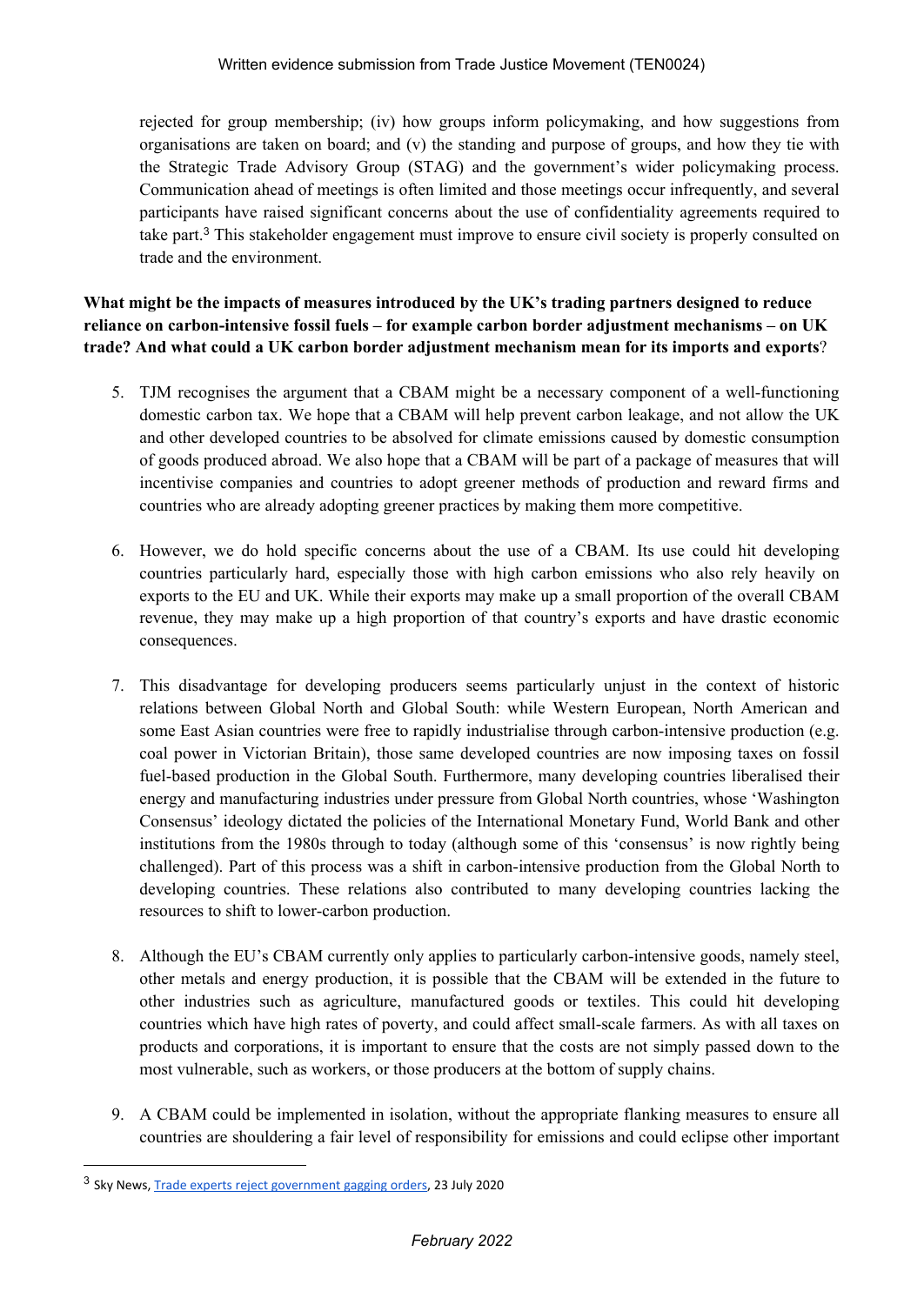rejected for group membership; (iv) how groups inform policymaking, and how suggestions from organisations are taken on board; and (v) the standing and purpose of groups, and how they tie with the Strategic Trade Advisory Group (STAG) and the government's wider policymaking process. Communication ahead of meetings is often limited and those meetings occur infrequently, and several participants have raised significant concerns about the use of confidentiality agreements required to take part.<sup>3</sup> This stakeholder engagement must improve to ensure civil society is properly consulted on trade and the environment.

**What might be the impacts of measures introduced by the UK's trading partners designed to reduce reliance on carbon-intensive fossil fuels – for example carbon border adjustment mechanisms – on UK trade? And what could a UK carbon border adjustment mechanism mean for its imports and exports**?

- 5. TJM recognises the argument that a CBAM might be a necessary component of a well-functioning domestic carbon tax. We hope that a CBAM will help prevent carbon leakage, and not allow the UK and other developed countries to be absolved for climate emissions caused by domestic consumption of goods produced abroad. We also hope that a CBAM will be part of a package of measures that will incentivise companies and countries to adopt greener methods of production and reward firms and countries who are already adopting greener practices by making them more competitive.
- 6. However, we do hold specific concerns about the use of a CBAM. Its use could hit developing countries particularly hard, especially those with high carbon emissions who also rely heavily on exports to the EU and UK. While their exports may make up a small proportion of the overall CBAM revenue, they may make up a high proportion of that country's exports and have drastic economic consequences.
- 7. This disadvantage for developing producers seems particularly unjust in the context of historic relations between Global North and Global South: while Western European, North American and some East Asian countries were free to rapidly industrialise through carbon-intensive production (e.g. coal power in Victorian Britain), those same developed countries are now imposing taxes on fossil fuel-based production in the Global South. Furthermore, many developing countries liberalised their energy and manufacturing industries under pressure from Global North countries, whose 'Washington Consensus' ideology dictated the policies of the International Monetary Fund, World Bank and other institutions from the 1980s through to today (although some of this 'consensus' is now rightly being challenged). Part of this process was a shift in carbon-intensive production from the Global North to developing countries. These relations also contributed to many developing countries lacking the resources to shift to lower-carbon production.
- 8. Although the EU's CBAM currently only applies to particularly carbon-intensive goods, namely steel, other metals and energy production, it is possible that the CBAM will be extended in the future to other industries such as agriculture, manufactured goods or textiles. This could hit developing countries which have high rates of poverty, and could affect small-scale farmers. As with all taxes on products and corporations, it is important to ensure that the costs are not simply passed down to the most vulnerable, such as workers, or those producers at the bottom of supply chains.
- 9. A CBAM could be implemented in isolation, without the appropriate flanking measures to ensure all countries are shouldering a fair level of responsibility for emissions and could eclipse other important

<sup>&</sup>lt;sup>3</sup> Sky News, [Trade](https://news.sky.com/story/trade-experts-reject-government-gagging-orders-12034425) [experts](https://news.sky.com/story/trade-experts-reject-government-gagging-orders-12034425) [reject](https://news.sky.com/story/trade-experts-reject-government-gagging-orders-12034425) [government](https://news.sky.com/story/trade-experts-reject-government-gagging-orders-12034425) [gagging](https://news.sky.com/story/trade-experts-reject-government-gagging-orders-12034425) [orders,](https://news.sky.com/story/trade-experts-reject-government-gagging-orders-12034425) 23 July 2020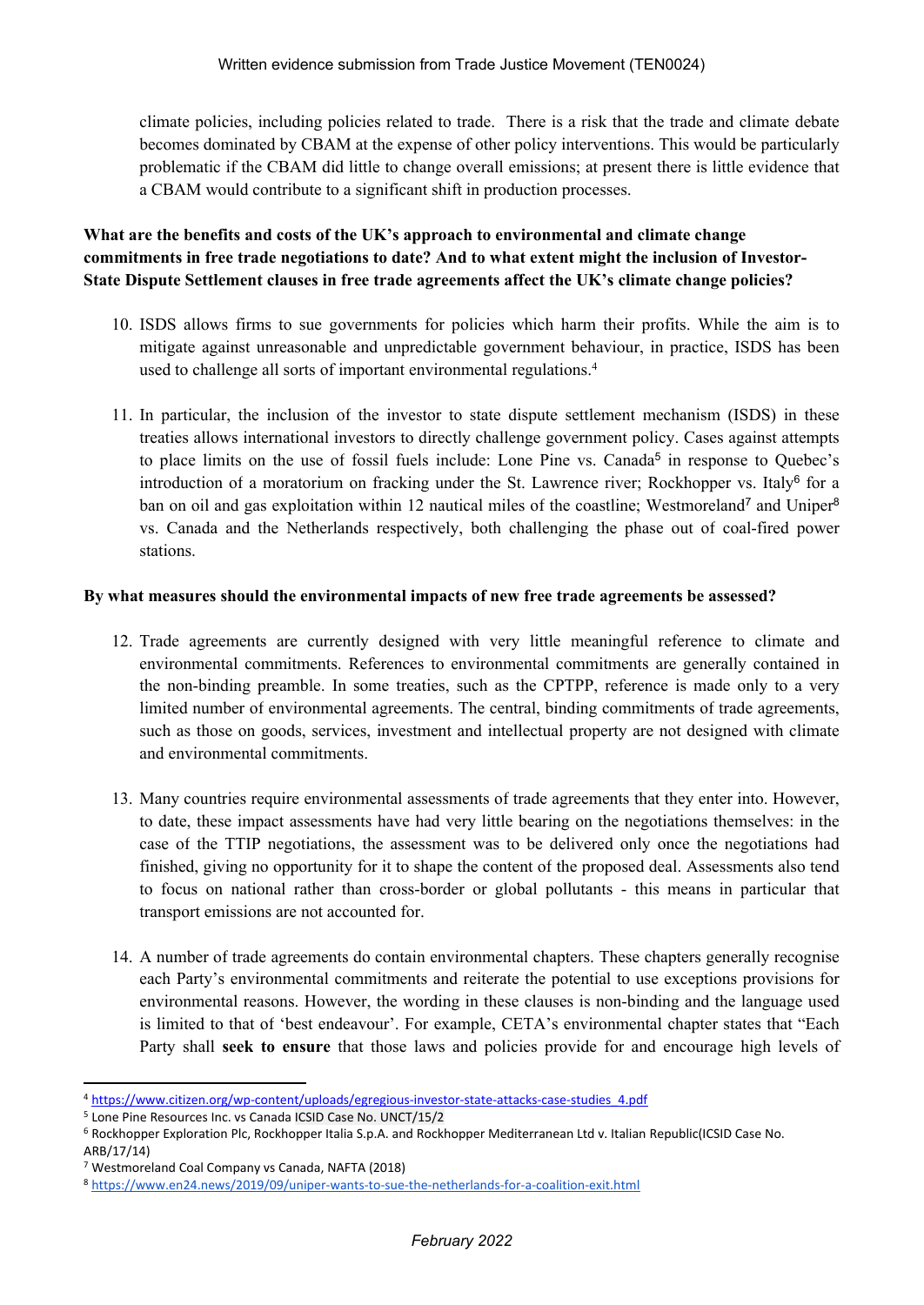climate policies, including policies related to trade. There is a risk that the trade and climate debate becomes dominated by CBAM at the expense of other policy interventions. This would be particularly problematic if the CBAM did little to change overall emissions; at present there is little evidence that a CBAM would contribute to a significant shift in production processes.

# **What are the benefits and costs of the UK's approach to environmental and climate change commitments in free trade negotiations to date? And to what extent might the inclusion of Investor-State Dispute Settlement clauses in free trade agreements affect the UK's climate change policies?**

- 10. ISDS allows firms to sue governments for policies which harm their profits. While the aim is to mitigate against unreasonable and unpredictable government behaviour, in practice, ISDS has been used to challenge all sorts of important environmental regulations.<sup>4</sup>
- 11. In particular, the inclusion of the investor to state dispute settlement mechanism (ISDS) in these treaties allows international investors to directly challenge government policy. Cases against attempts to place limits on the use of fossil fuels include: Lone Pine vs. Canada<sup>5</sup> in response to Quebec's introduction of a moratorium on fracking under the St. Lawrence river; Rockhopper vs. Italy<sup>6</sup> for a ban on oil and gas exploitation within 12 nautical miles of the coastline; Westmoreland<sup>7</sup> and Uniper<sup>8</sup> vs. Canada and the Netherlands respectively, both challenging the phase out of coal-fired power stations.

#### **By what measures should the environmental impacts of new free trade agreements be assessed?**

- 12. Trade agreements are currently designed with very little meaningful reference to climate and environmental commitments. References to environmental commitments are generally contained in the non-binding preamble. In some treaties, such as the CPTPP, reference is made only to a very limited number of environmental agreements. The central, binding commitments of trade agreements, such as those on goods, services, investment and intellectual property are not designed with climate and environmental commitments.
- 13. Many countries require environmental assessments of trade agreements that they enter into. However, to date, these impact assessments have had very little bearing on the negotiations themselves: in the case of the TTIP negotiations, the assessment was to be delivered only once the negotiations had finished, giving no opportunity for it to shape the content of the proposed deal. Assessments also tend to focus on national rather than cross-border or global pollutants - this means in particular that transport emissions are not accounted for.
- 14. A number of trade agreements do contain environmental chapters. These chapters generally recognise each Party's environmental commitments and reiterate the potential to use exceptions provisions for environmental reasons. However, the wording in these clauses is non-binding and the language used is limited to that of 'best endeavour'. For example, CETA's environmental chapter states that "Each Party shall **seek to ensure** that those laws and policies provide for and encourage high levels of

<sup>4</sup> [https://www.citizen.org/wp-content/uploads/egregious-investor-state-attacks-case-studies\\_4.pdf](https://www.citizen.org/wp-content/uploads/egregious-investor-state-attacks-case-studies_4.pdf)

<sup>5</sup> Lone Pine Resources Inc. vs Canada ICSID Case No. UNCT/15/2

<sup>6</sup> Rockhopper Exploration Plc, Rockhopper Italia S.p.A. and Rockhopper Mediterranean Ltd v. Italian Republic(ICSID Case No. ARB/17/14)

<sup>7</sup> Westmoreland Coal Company vs Canada, NAFTA (2018)

<sup>8</sup> <https://www.en24.news/2019/09/uniper-wants-to-sue-the-netherlands-for-a-coalition-exit.html>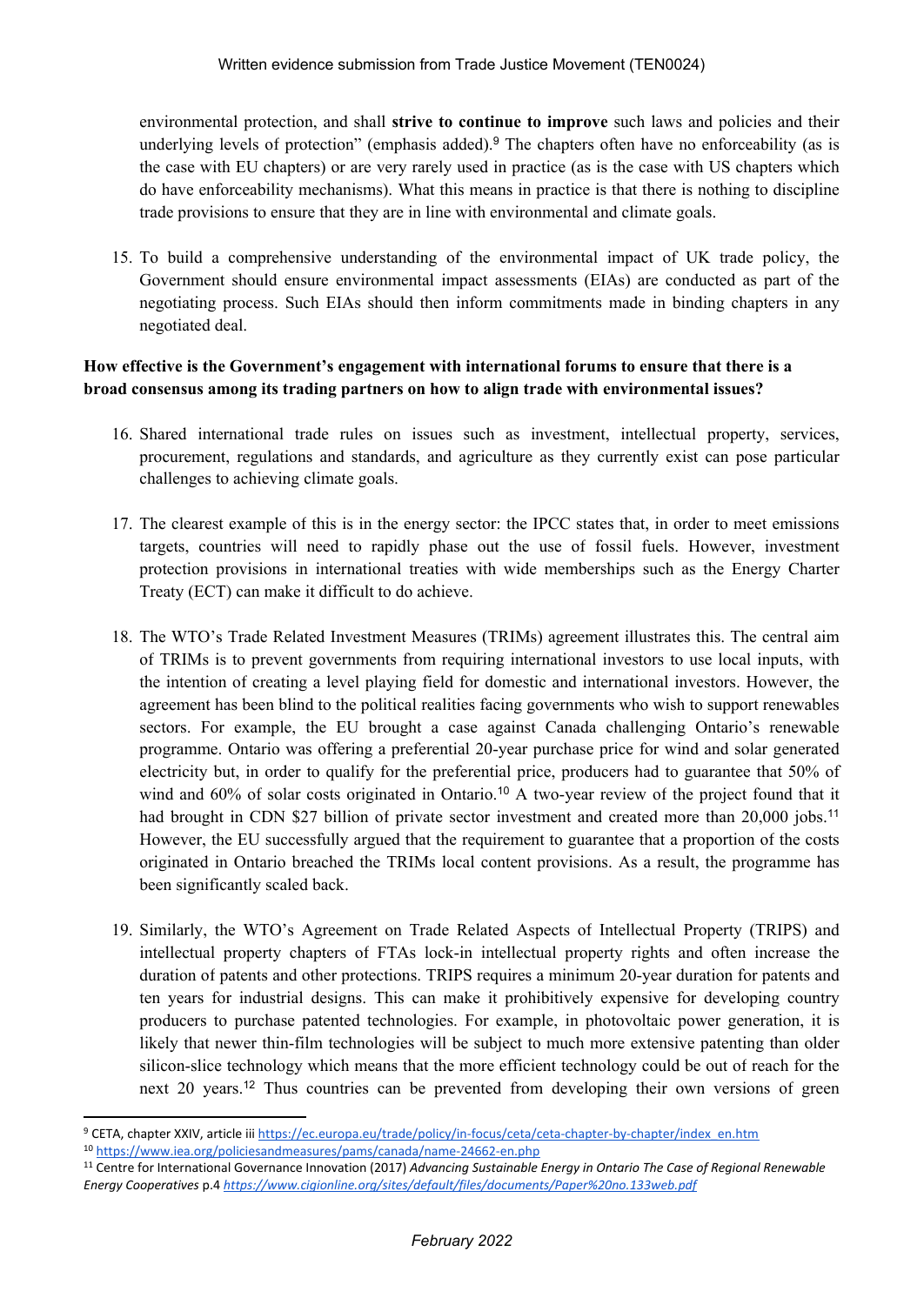environmental protection, and shall **strive to continue to improve** such laws and policies and their underlying levels of protection" (emphasis added).<sup>9</sup> The chapters often have no enforceability (as is the case with EU chapters) or are very rarely used in practice (as is the case with US chapters which do have enforceability mechanisms). What this means in practice is that there is nothing to discipline trade provisions to ensure that they are in line with environmental and climate goals.

15. To build a comprehensive understanding of the environmental impact of UK trade policy, the Government should ensure environmental impact assessments (EIAs) are conducted as part of the negotiating process. Such EIAs should then inform commitments made in binding chapters in any negotiated deal.

## **How effective is the Government's engagement with international forums to ensure that there is a broad consensus among its trading partners on how to align trade with environmental issues?**

- 16. Shared international trade rules on issues such as investment, intellectual property, services, procurement, regulations and standards, and agriculture as they currently exist can pose particular challenges to achieving climate goals.
- 17. The clearest example of this is in the energy sector: the IPCC states that, in order to meet emissions targets, countries will need to rapidly phase out the use of fossil fuels. However, investment protection provisions in international treaties with wide memberships such as the Energy Charter Treaty (ECT) can make it difficult to do achieve.
- 18. The WTO's Trade Related Investment Measures (TRIMs) agreement illustrates this. The central aim of TRIMs is to prevent governments from requiring international investors to use local inputs, with the intention of creating a level playing field for domestic and international investors. However, the agreement has been blind to the political realities facing governments who wish to support renewables sectors. For example, the EU brought a case against Canada challenging Ontario's renewable programme. Ontario was offering a preferential 20-year purchase price for wind and solar generated electricity but, in order to qualify for the preferential price, producers had to guarantee that 50% of wind and 60% of solar costs originated in Ontario.<sup>10</sup> A two-year review of the project found that it had brought in CDN \$27 billion of private sector investment and created more than 20,000 jobs.<sup>11</sup> However, the EU successfully argued that the requirement to guarantee that a proportion of the costs originated in Ontario breached the TRIMs local content provisions. As a result, the programme has been significantly scaled back.
- 19. Similarly, the WTO's Agreement on Trade Related Aspects of Intellectual Property (TRIPS) and intellectual property chapters of FTAs lock-in intellectual property rights and often increase the duration of patents and other protections. TRIPS requires a minimum 20-year duration for patents and ten years for industrial designs. This can make it prohibitively expensive for developing country producers to purchase patented technologies. For example, in photovoltaic power generation, it is likely that newer thin-film technologies will be subject to much more extensive patenting than older silicon-slice technology which means that the more efficient technology could be out of reach for the next 20 years.<sup>12</sup> Thus countries can be prevented from developing their own versions of green

<sup>11</sup> Centre for International Governance Innovation (2017) *Advancing Sustainable Energy in Ontario The Case of Regional Renewable Energy Cooperatives* p.4 *<https://www.cigionline.org/sites/default/files/documents/Paper%20no.133web.pdf>*

<sup>&</sup>lt;sup>9</sup> CETA, chapter XXIV, article iii [https://ec.europa.eu/trade/policy/in-focus/ceta/ceta-chapter-by-chapter/index\\_en.htm](https://ec.europa.eu/trade/policy/in-focus/ceta/ceta-chapter-by-chapter/index_en.htm)

<sup>10</sup> <https://www.iea.org/policiesandmeasures/pams/canada/name-24662-en.php>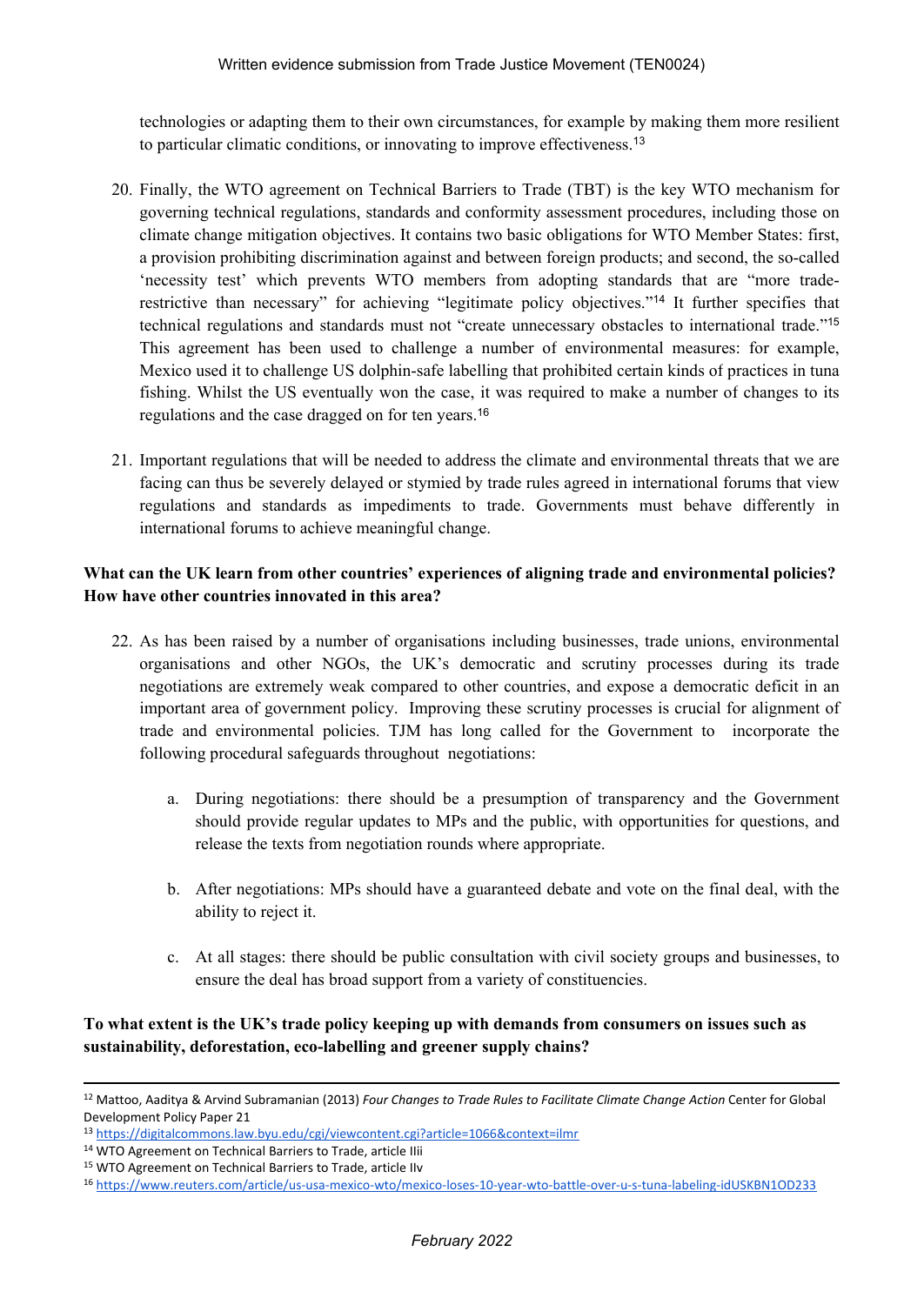technologies or adapting them to their own circumstances, for example by making them more resilient to particular climatic conditions, or innovating to improve effectiveness.<sup>13</sup>

- 20. Finally, the WTO agreement on Technical Barriers to Trade (TBT) is the key WTO mechanism for governing technical regulations, standards and conformity assessment procedures, including those on climate change mitigation objectives. It contains two basic obligations for WTO Member States: first, a provision prohibiting discrimination against and between foreign products; and second, the so-called 'necessity test' which prevents WTO members from adopting standards that are "more traderestrictive than necessary" for achieving "legitimate policy objectives."<sup>14</sup> It further specifies that technical regulations and standards must not "create unnecessary obstacles to international trade."<sup>15</sup> This agreement has been used to challenge a number of environmental measures: for example, Mexico used it to challenge US dolphin-safe labelling that prohibited certain kinds of practices in tuna fishing. Whilst the US eventually won the case, it was required to make a number of changes to its regulations and the case dragged on for ten years.<sup>16</sup>
- 21. Important regulations that will be needed to address the climate and environmental threats that we are facing can thus be severely delayed or stymied by trade rules agreed in international forums that view regulations and standards as impediments to trade. Governments must behave differently in international forums to achieve meaningful change.

## **What can the UK learn from other countries' experiences of aligning trade and environmental policies? How have other countries innovated in this area?**

- 22. As has been raised by a number of organisations including businesses, trade unions, environmental organisations and other NGOs, the UK's democratic and scrutiny processes during its trade negotiations are extremely weak compared to other countries, and expose a democratic deficit in an important area of government policy. Improving these scrutiny processes is crucial for alignment of trade and environmental policies. TJM has long called for the Government to incorporate the following procedural safeguards throughout negotiations:
	- a. During negotiations: there should be a presumption of transparency and the Government should provide regular updates to MPs and the public, with opportunities for questions, and release the texts from negotiation rounds where appropriate.
	- b. After negotiations: MPs should have a guaranteed debate and vote on the final deal, with the ability to reject it.
	- c. At all stages: there should be public consultation with civil society groups and businesses, to ensure the deal has broad support from a variety of constituencies.

# **To what extent is the UK's trade policy keeping up with demands from consumers on issues such as sustainability, deforestation, eco-labelling and greener supply chains?**

<sup>12</sup> Mattoo, Aaditya & Arvind Subramanian (2013) *Four Changes to Trade Rules to Facilitate Climate Change Action* Center for Global Development Policy Paper 21

<sup>13</sup> <https://digitalcommons.law.byu.edu/cgi/viewcontent.cgi?article=1066&context=ilmr>

<sup>14</sup> WTO Agreement on Technical Barriers to Trade, article IIii

<sup>15</sup> WTO Agreement on Technical Barriers to Trade, article IIv

<sup>16</sup> <https://www.reuters.com/article/us-usa-mexico-wto/mexico-loses-10-year-wto-battle-over-u-s-tuna-labeling-idUSKBN1OD233>